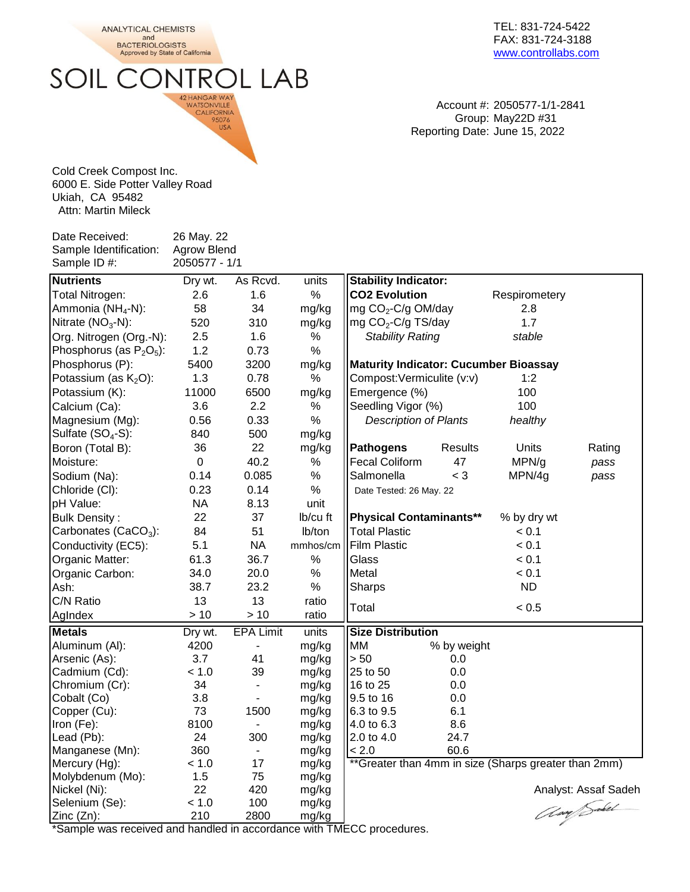**ANALYTICAL CHEMISTS** and **BACTERIOLOGISTS** 

Approved by State of California

**SOIL CONTROL LAB** 

42 HANGAR WAY WATSONVILLE CALIFORNIA<br>95076 USA

TEL: 831-724-5422 FAX: 831-724-3188 [www.controllabs.com](http://www.compostlab.com/)

Account #: 2050577-1/1-2841 Group: May22D #31 Reporting Date: June 15, 2022

Cold Creek Compost Inc. 6000 E. Side Potter Valley Road Ukiah, CA 95482 Attn: Martin Mileck

Date Received: 26 May. 22 Sample Identification: Agrow Blend

Sample ID #: 2050577 - 1/1 **Nutrients Dry wt.** As Rcvd. units **Stability Indicator:** Total Nitrogen: 2.6 1.6 % CO2 Evolution Respirometery Ammonia ( $NH<sub>4</sub>-N$ ): -N): 58  $34$  mg/kg  $\lfloor$ mg CO<sub>2</sub>-C/g OM/day  $2.8$ Nitrate  $(NO<sub>3</sub>-N)$ : -N): 520 310 mg/kg  $\parallel$ mg CO<sub>2</sub>-C/g TS/day 1.7 Org. Nitrogen (Org.-N): 2.5 1.6 % *Stability Rating stable* Phosphorus (as  $P_2O_5$ ): ): 1.2 0.73 % Phosphorus (P): 5400 3200 mg/kg **Maturity Indicator: Cucumber Bioassay** Potassium (as  $K_2O$ ): 1.3 0.78 % Compost:Vermiculite (v:v) 1:2 Potassium (K): 11000 6500 mg/kg Emergence (%) 100 Calcium (Ca):  $3.6$   $2.2$  % Seedling Vigor (%) 100 Magnesium (Mg): 0.56 0.33 % *Description of Plants healthy* Sulfate  $(SO_4-S)$ : 840 500 mg/kg Boron (Total B): 36 22 mg/kg **Pathogens** Results Units Rating Moisture: 0 40.2 % Fecal Coliform 47 MPN/g *pass* Sodium (Na): 0.14 0.085 % Salmonella < 3 MPN/4g *pass* Chloride (Cl): 0.23 0.14 % Date Tested: 26 May. 22 pH Value: NA 8.13 unit Bulk Density : 22 37 lb/cu ft ||Physical Contaminants<sup>\*\*</sup> % by dry wt Carbonates  $(CaCO<sub>3</sub>)$ : 84 51 Ib/ton II Total Plastic  $\leq 0.1$ Conductivity (EC5):  $5.1$  NA mmhos/cm Film Plastic  $< 0.1$ Organic Matter: 61.3 36.7 % Glass < 0.1 Organic Carbon:  $34.0$  20.0 %  $\blacksquare$  Metal  $\lt 0.1$ Ash: 38.7 23.2 % Sharps ND C/N Ratio 13 13 ratio  $A$ glndex  $> 10$   $> 10$  ratio **Metals Dry wt.** EPA Limit units **Size Distribution** Aluminum (Al): 4200 - mg/kg MM % by weight<br>Arsenic (As): 3.7 41 mg/kg > 50 0.0 Arsenic (As): 3.7 41 mg/kg ||> 50 0.0 Cadmium  $(Cd)$ :  $< 1.0$  39 mg/kg  $||25 \text{ to } 50$  0.0 Chromium (Cr): 34 - mg/kg ||16 to 25 0.0 Cobalt (Co)  $3.8$  - mg/kg  $|9.5$  to 16 0.0 Copper (Cu):  $73$  1500 mg/kg  $| 6.3$  to 9.5 6.1 Iron (Fe): 8100 - mg/kg ||4.0 to 6.3 8.6 Lead (Pb):  $24$  300 mg/kg  $||2.0 \text{ to } 4.0$  24.7 Manganese (Mn):  $360$  -  $mg/kg$   $\leq 2.0$  60.6 Mercury (Hg):  $\leq 1.0$  17 mg/kg  $\frac{1}{2}$  and 4mm in size (Sharps greater than 2mm) Molybdenum (Mo): 1.5 75 mg/kg Nickel (Ni): 22 420 mg/kg<br>
Selenium (Se): < 1.0 100 mg/kg<br>
Zinc (Zn): 210 2800 mg/kg Selenium (Se):  $\leq 1.0$  100 mg/kg Zinc (Zn): 210 2800 mg/kg  $Total \sim 0.5$ 

\*Sample was received and handled in accordance with TMECC procedures.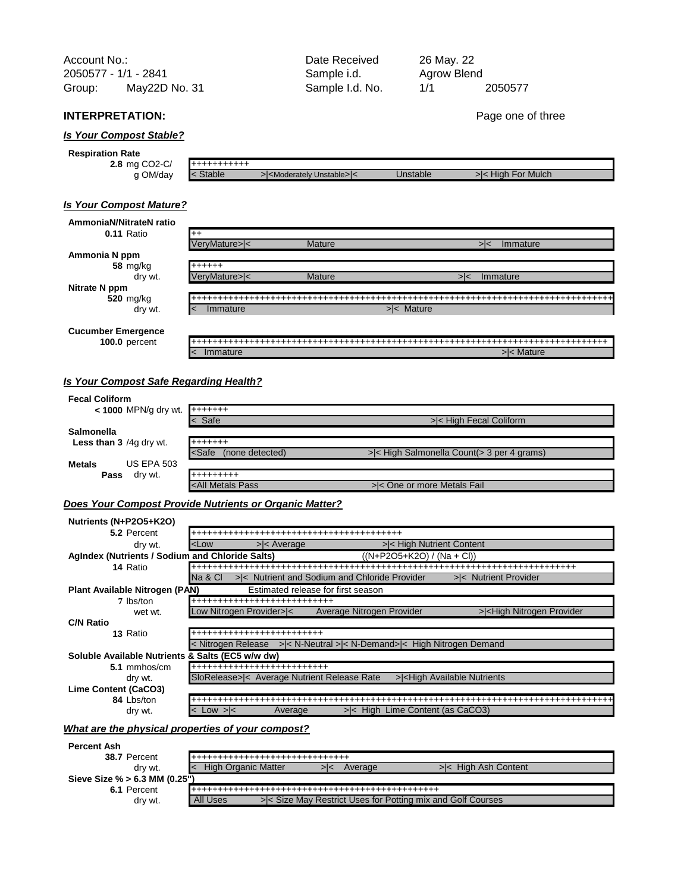Account No.: Count No.: Contract Account No.: 22 2050577 - 1/1 - 2841 Sample i.d. Group: Sample I.d. No. 1/1 2050577 May22D No. 31

# **INTERPRETATION:** Page one of three

# *Is Your Compost Stable?*

| <b>Respiration</b><br>Rate       |               |                                               |          |                            |
|----------------------------------|---------------|-----------------------------------------------|----------|----------------------------|
| $CO2-C/$<br>$2.8 \, \text{mg}$ ( | --+++++++++   |                                               |          |                            |
| OM/day                           | <b>Stable</b> | >  <moderately unstable=""> &lt;</moderately> | 'nstable | ا For Mulch<br>Hiah<br>>∣< |

# *Is Your Compost Mature?*

#### **0.11** Ratio  **Ammonia N ppm 58** mg/kg dry wt.  **Nitrate N ppm 520** mg/kg dry wt.  **Cucumber Emergence 100.0** percent  **AmmoniaN/NitrateN ratio** ++ +++++++++++++++++++++++++++++++++++++++++++++++++++++++++++++++++++++++++++++++ < Immature >  $|$  >  $|$ < Mature >  $|$ VeryMature>|< Mature >|< Immature ++++++ VeryMature>|< Mature >|< Immature ++++++++++++++++++++++++++++++++++++++++++++++++++++++++++++++++++++++++++++++++++++++++++++++++++++++++++++++++++++++++++++++++++++++++++++++++++++++++++++++++++++++++++++++++++++++++++++++++++++++++++++++++++++++++++++++++++++++++++++++++++++++++++++++++++++++++++++++++++++++++++++++++++++++++++++++++++++++++++++++++++++++++++++++++++++++++++++++++++++++++++++++++++++++++++++++++++++++++++++++++++++++++++ < Immature  $|$  and  $|$  and  $|$  and  $|$  and  $|$  and  $|$  and  $|$  and  $|$  and  $|$  and  $|$  and  $|$  and  $|$  and  $|$  and  $|$  and  $|$  and  $|$  and  $|$  and  $|$  and  $|$  and  $|$  and  $|$  and  $|$  and  $|$  and  $|$  and  $|$  and  $|$  and  $|$

# *Is Your Compost Safe Regarding Health?*

| <b>Fecal Coliform</b>                  |                                                                                |                                                  |  |  |
|----------------------------------------|--------------------------------------------------------------------------------|--------------------------------------------------|--|--|
| $\leq$ 1000 MPN/g dry wt. $\ $ +++++++ |                                                                                |                                                  |  |  |
|                                        | $\leq$ Safe                                                                    | >< High Fecal Coliform                           |  |  |
| Salmonella                             |                                                                                |                                                  |  |  |
| <b>Less than 3</b> /4g dry wt.         | +++++++                                                                        |                                                  |  |  |
|                                        | <safe<br>(none detected)</safe<br>                                             | $>\le$ High Salmonella Count( $>$ 3 per 4 grams) |  |  |
| <b>US EPA 503</b><br><b>Metals</b>     |                                                                                |                                                  |  |  |
| Pass<br>dry wt.                        | +++++++++                                                                      |                                                  |  |  |
|                                        | <all metals="" pass<="" th=""><th>&gt; &lt; One or more Metals Fail</th></all> | > < One or more Metals Fail                      |  |  |

## *Does Your Compost Provide Nutrients or Organic Matter?*

| Nutrients (N+P2O5+K2O)                           |                                                                                                         |  |  |
|--------------------------------------------------|---------------------------------------------------------------------------------------------------------|--|--|
| 5.2 Percent                                      |                                                                                                         |  |  |
| dry wt.                                          | $>\n<$ Average<br>>< High Nutrient Content<br><low< td=""></low<>                                       |  |  |
| AgIndex (Nutrients / Sodium and Chloride Salts)  | $((N+P2O5+K2O) / (Na + Cl))$                                                                            |  |  |
| 14 Ratio                                         |                                                                                                         |  |  |
|                                                  | >< Nutrient and Sodium and Chloride Provider<br>>< Nutrient Provider<br>Na & Cl                         |  |  |
| Plant Available Nitrogen (PAN)                   | Estimated release for first season                                                                      |  |  |
| 7 lbs/ton                                        | <b>--------------------------------</b>                                                                 |  |  |
| wet wt.                                          | Low Nitrogen Provider> <<br>Average Nitrogen Provider<br>> <high nitrogen="" provider<="" td=""></high> |  |  |
| <b>C/N Ratio</b>                                 |                                                                                                         |  |  |
| 13 Ratio                                         | ----------------------------                                                                            |  |  |
|                                                  | < Nitrogen Release > < N-Neutral > < N-Demand> < High Nitrogen Demand                                   |  |  |
| Soluble Available Nutrients & Salts (EC5 w/w dw) |                                                                                                         |  |  |
| 5.1 mmhos/cm                                     | <b>---------------------------------</b>                                                                |  |  |
| dry wt.                                          | ><br>l<br>l<br>l<br>l<br>l<br>l<br>l<br>l<br>l<br>l<br>l<br>l<br>l<br>l<br>l<br>l<br>l<br>l<br>         |  |  |
| <b>Lime Content (CaCO3)</b>                      |                                                                                                         |  |  |
| 84 Lbs/ton                                       |                                                                                                         |  |  |
| drv wt.                                          | $>\left <\right $ High Lime Content (as CaCO3)<br>Average<br>$<$ Low $>$ $<$                            |  |  |

### *What are the physical properties of your compost?*

| <b>Percent Ash</b>            |                                                                        |  |  |  |  |
|-------------------------------|------------------------------------------------------------------------|--|--|--|--|
| 38.7 Percent                  |                                                                        |  |  |  |  |
| dry wt.                       | <b>High Organic Matter</b><br>>< High Ash Content<br>Average           |  |  |  |  |
| Sieve Size % > 6.3 MM (0.25") |                                                                        |  |  |  |  |
| 6.1 Percent                   | .                                                                      |  |  |  |  |
| dry wt.                       | >< Size May Restrict Uses for Potting mix and Golf Courses<br>All Uses |  |  |  |  |

Agrow Blend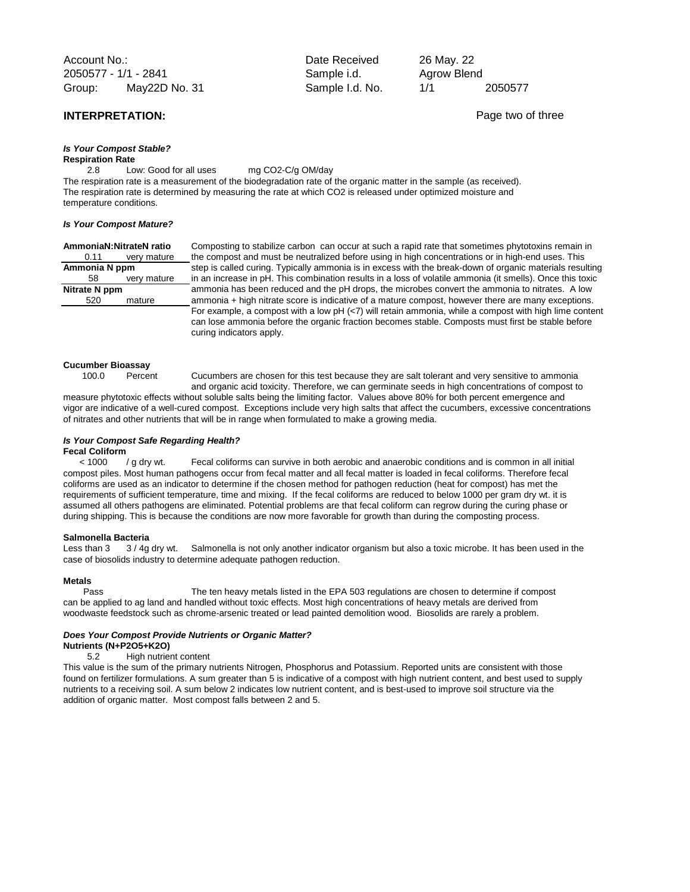Account No.: and Date Received 2050577 - 1/1 - 2841 Sample i.d. Group: Sample I.d. No. 1/1 2050577 May22D No. 31

# **INTERPRETATION: Page two of three**

*Is Your Compost Stable?* **Respiration Rate**

2.8 Low: Good for all uses mg CO2-C/g OM/day

The respiration rate is a measurement of the biodegradation rate of the organic matter in the sample (as received). The respiration rate is determined by measuring the rate at which CO2 is released under optimized moisture and temperature conditions.

#### *Is Your Compost Mature?*

| Ammonia N ppm |             |    |
|---------------|-------------|----|
| 58            | very mature | ir |
| Nitrate N ppm |             |    |
| 520           | mature      | a  |
|               |             |    |

**AmmoniaN:NitrateN ratio** Composting to stabilize carbon can occur at such a rapid rate that sometimes phytotoxins remain in 0.11 very mature the compost and must be neutralized before using in high concentrations or in high-end uses. This tep is called curing. Typically ammonia is in excess with the break-down of organic materials resulting n an increase in pH. This combination results in a loss of volatile ammonia (it smells). Once this toxic **Infrate I pama** been reduced and the pH drops, the microbes convert the ammonia to nitrates. A low mmonia + high nitrate score is indicative of a mature compost, however there are many exceptions. For example, a compost with a low pH (<7) will retain ammonia, while a compost with high lime content can lose ammonia before the organic fraction becomes stable. Composts must first be stable before curing indicators apply.

#### **Cucumber Bioassay**

100.0 Percent Cucumbers are chosen for this test because they are salt tolerant and very sensitive to ammonia

and organic acid toxicity. Therefore, we can germinate seeds in high concentrations of compost to measure phytotoxic effects without soluble salts being the limiting factor. Values above 80% for both percent emergence and vigor are indicative of a well-cured compost. Exceptions include very high salts that affect the cucumbers, excessive concentrations of nitrates and other nutrients that will be in range when formulated to make a growing media.

#### *Is Your Compost Safe Regarding Health?* **Fecal Coliform**

< 1000 / g dry wt. Fecal coliforms can survive in both aerobic and anaerobic conditions and is common in all initial compost piles. Most human pathogens occur from fecal matter and all fecal matter is loaded in fecal coliforms. Therefore fecal coliforms are used as an indicator to determine if the chosen method for pathogen reduction (heat for compost) has met the requirements of sufficient temperature, time and mixing. If the fecal coliforms are reduced to below 1000 per gram dry wt. it is assumed all others pathogens are eliminated. Potential problems are that fecal coliform can regrow during the curing phase or during shipping. This is because the conditions are now more favorable for growth than during the composting process.

**Salmonella Bacteria**<br>Less than 3 3 / 4g dry wt. Less than 3 3/4g dry wt. Salmonella is not only another indicator organism but also a toxic microbe. It has been used in the case of biosolids industry to determine adequate pathogen reduction.

### **Metals**

Pass The ten heavy metals listed in the EPA 503 regulations are chosen to determine if compost can be applied to ag land and handled without toxic effects. Most high concentrations of heavy metals are derived from woodwaste feedstock such as chrome-arsenic treated or lead painted demolition wood. Biosolids are rarely a problem.

#### *Does Your Compost Provide Nutrients or Organic Matter?*

### **Nutrients (N+P2O5+K2O)**

5.2 High nutrient content

This value is the sum of the primary nutrients Nitrogen, Phosphorus and Potassium. Reported units are consistent with those found on fertilizer formulations. A sum greater than 5 is indicative of a compost with high nutrient content, and best used to supply nutrients to a receiving soil. A sum below 2 indicates low nutrient content, and is best-used to improve soil structure via the addition of organic matter. Most compost falls between 2 and 5.

Agrow Blend 26 May. 22